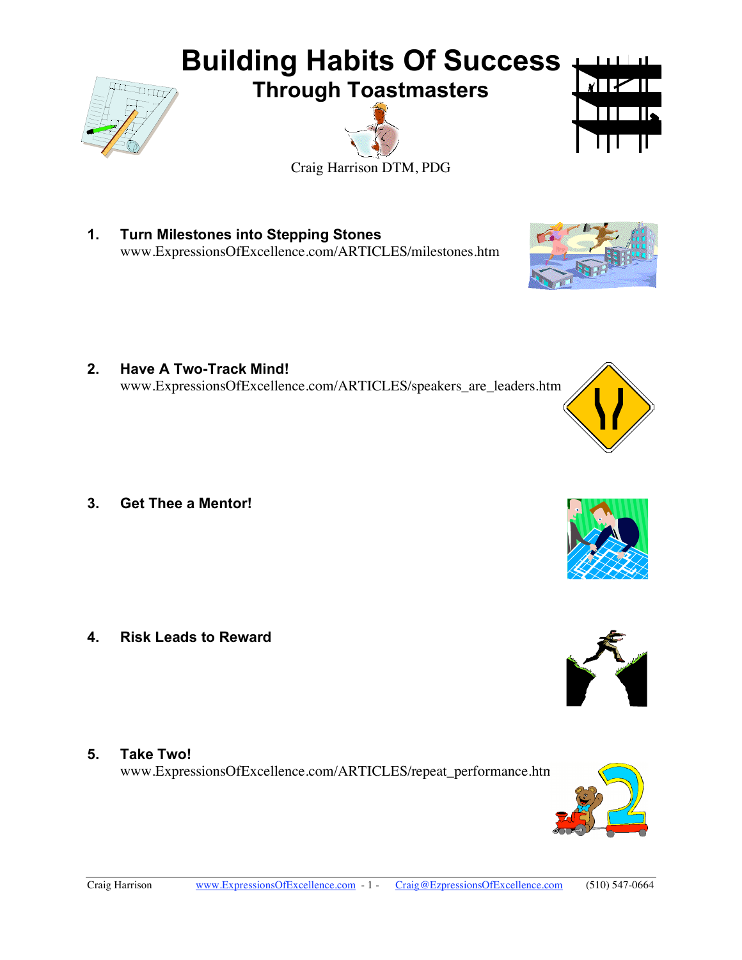

**1. Turn Milestones into Stepping Stones**  www.ExpressionsOfExcellence.com/ARTICLES/milestones.htm

**2. Have A Two-Track Mind!**  www.ExpressionsOfExcellence.com/ARTICLES/speakers\_are\_leaders.htm

**3. Get Thee a Mentor!** 

**4. Risk Leads to Reward** 

**5. Take Two!** 

www.ExpressionsOfExcellence.com/ARTICLES/repeat\_performance.htm









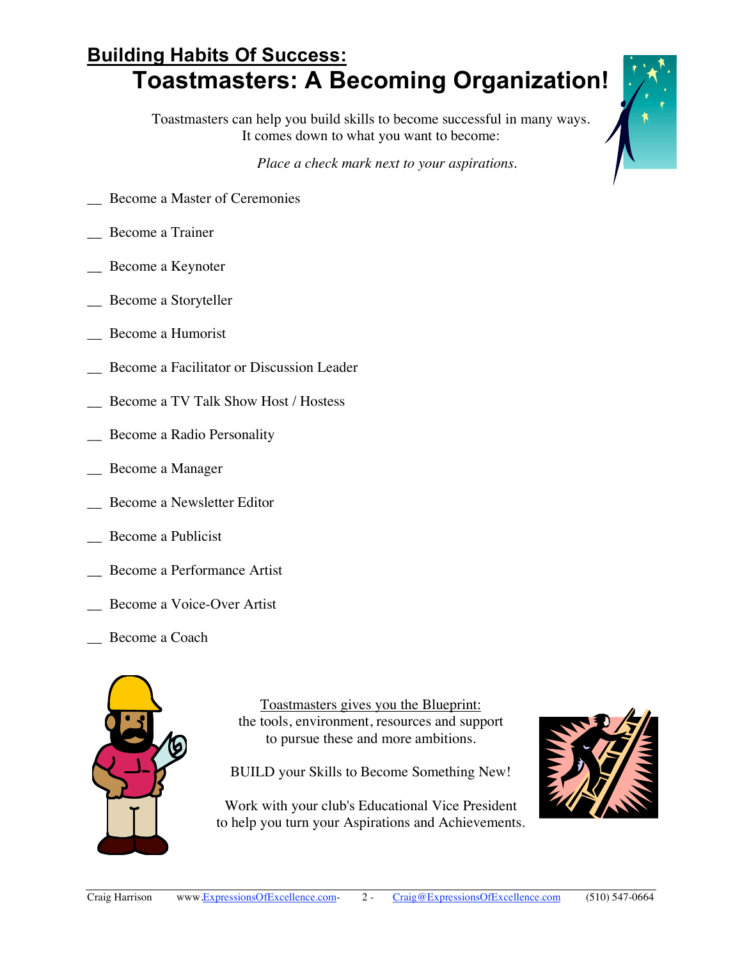## **Building Habits Of Success: Toastmasters: A Becoming Organization!**

Toastmasters can help you build skills to become successful in many ways. It comes down to what you want to become:

*Place a check mark next to your aspirations*.

- \_\_ Become a Master of Ceremonies
- \_\_ Become a Trainer
- Become a Keynoter
- \_\_ Become a Storyteller
- \_\_ Become a Humorist
- Become a Facilitator or Discussion Leader
- Become a TV Talk Show Host / Hostess
- \_\_ Become a Radio Personality
- \_\_ Become a Manager
- \_\_ Become a Newsletter Editor
- Become a Publicist
- \_\_ Become a Performance Artist
- Become a Voice-Over Artist
- Become a Coach



Toastmasters gives you the Blueprint: the tools, environment, resources and support to pursue these and more ambitions.

BUILD your Skills to Become Something New!

Work with your club's Educational Vice President to help you turn your Aspirations and Achievements.



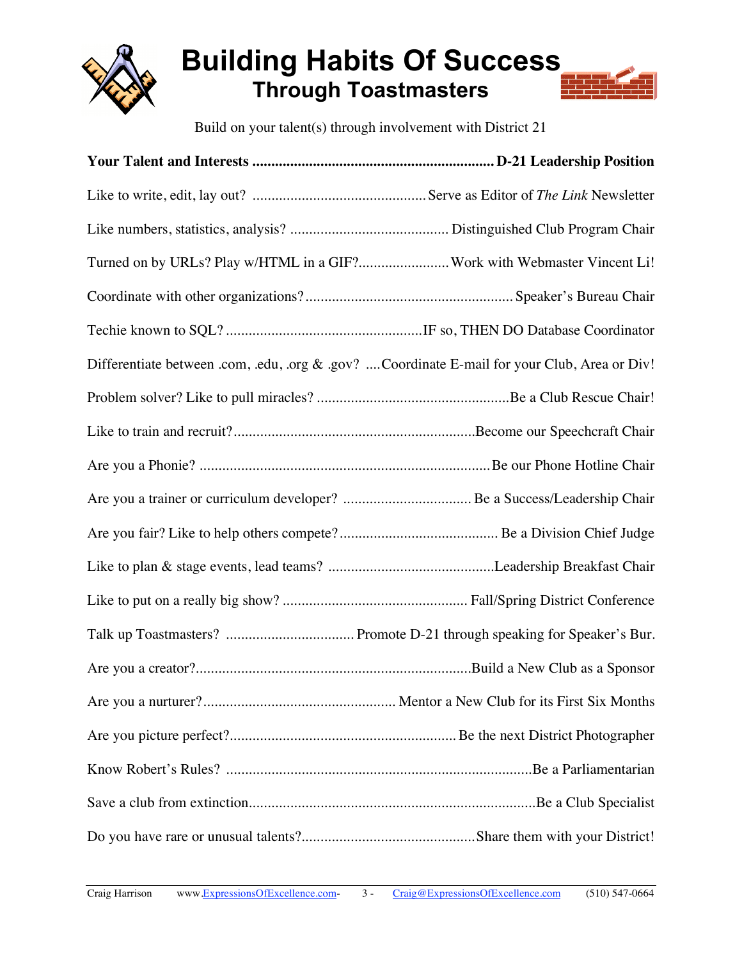

## **Building Habits Of Success Through Toastmasters**

Build on your talent(s) through involvement with District 21

| Turned on by URLs? Play w/HTML in a GIF?Work with Webmaster Vincent Li!                      |  |
|----------------------------------------------------------------------------------------------|--|
|                                                                                              |  |
|                                                                                              |  |
| Differentiate between .com, .edu, .org & .gov? Coordinate E-mail for your Club, Area or Div! |  |
|                                                                                              |  |
|                                                                                              |  |
|                                                                                              |  |
|                                                                                              |  |
|                                                                                              |  |
|                                                                                              |  |
|                                                                                              |  |
|                                                                                              |  |
|                                                                                              |  |
|                                                                                              |  |
|                                                                                              |  |
|                                                                                              |  |
|                                                                                              |  |
|                                                                                              |  |